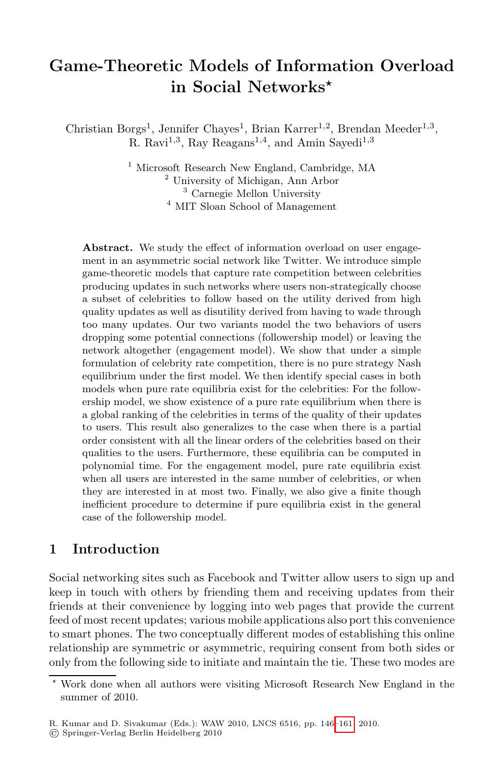# **Game-Theoretic Models of Information Overload in Social Networks***-*

Christian Borgs<sup>1</sup>, Jennifer Chayes<sup>1</sup>, Brian Karrer<sup>1,2</sup>, Brendan Meeder<sup>1,3</sup>, R. Ravi<sup>1,3</sup>, Ray Reagans<sup>1,4</sup>, and Amin Sayedi<sup>1,3</sup>

> <sup>1</sup> Microsoft Research New England, Cambridge, MA University of Michigan, Ann Arbor Carnegie Mellon University MIT Sloan School of Management

Abstract. We study the effect of information overload on user engagement in an asymmetric social network like Twitter. We introduce simple game-theoretic models that capture rate competition between celebrities producing updates in such networks where users non-strategically choose a subset of celebrities to follow based on the utility derived from high quality updates as well as disutility derived from having to wade through too many updates. Our two variants model the two behaviors of users dropping some potential connections (followership model) or leaving the network altogether (engagement model). We show that under a simple formulation of celebrity rate competition, there is no pure strategy Nash equilibrium under the first model. We then identify special cases in both models when pure rate equilibria exist for the celebrities: For the followership model, we show existence of a pure rate equilibrium when there is a global ranking of the celebrities in terms of the quality of their updates to users. This result also generalizes to the case when there is a partial order consistent with all the linear orders of the celebrities based on their qualities to the users. Furthermore, these equilibria can be computed in polynomial time. For the engagement model, pure rate equilibria exist when all users are interested in the same number of celebrities, or when they are interested in at most two. Finally, we also give a finite though inefficient procedure to determine if pure equilibria exist in the general case of the followership model.

# **1 Introduction**

Social networking sites such as Facebook and Twitter allow users to sign up and keep in touch with others by friending them and receiving updates from their friends at their convenience by logging into web pages that provide the current feed of most recent updates; various m[obile](#page-15-0) applications also port this convenience to smart phones. The two conceptually different modes of establishing this online relationship are symmetric or asymmetric, requiring consent from both sides or only from the following side to initiate and maintain the tie. These two modes are

 $\star$  Work done when all authors were visiting Microsoft Research New England in the summer of 2010.

R. Kumar and D. Sivakumar (Eds.): WAW 2010, LNCS 6516, pp. 146–161, 2010.

<sup>©</sup> Springer-Verlag Berlin Heidelberg 2010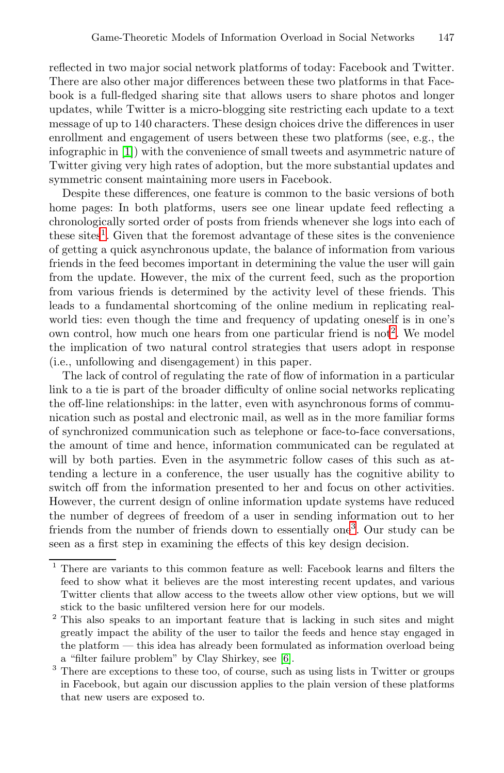reflected in two major social network platforms of today: Facebook and Twitter. There are also other major differences between these two platforms in that Facebook is a full-fledged sharing site that allows users to share photos and longer updates, while Twitter is a micro-blogging site restricting each update to a text message of up to 140 characters. These design choices drive the differences in user enrollment and engagement of users between these two platforms (see, e.g., the infographic in [1]) with the convenience of small tweets and asymmetric nature of Twitter giving very high rates of adoption, but the more substantial updates and symmetric consent maintaining more users in Facebook.

Despite these differences, one feature is common to the basic versions of both home pages: In both platforms, users see one linear update feed reflecting a chronologically sorted order of posts from frien[ds](#page-1-0) whenever she logs into each of these sites<sup>1</sup>. Given that the foremost advantage of these sites is the convenience of getting a quick asynchronous update, the balance of information from various friends in the feed becomes important in determining the value the user will gain from the update. However, the mix of the current feed, such as the proportion from various friends is determined by the activity level of these friends. This leads to a fundamental shortcoming of the online medium in replicating realworld ties: even though the time and frequency of updating oneself is in one's own control, how much one hears from one particular friend is  $not<sup>2</sup>$ . We model the implication of two natural control strategies that users adopt in response (i.e., unfollowing and disengagement) in this paper.

The lack of control of regulating the rate of flow of information in a particular link to a tie is part of the broader difficulty of online social networks replicating the off-line relationships: in the latter, even with asynchronous forms of communication such as postal and electronic m[ai](#page-1-1)l, as well as in the more familiar forms of synchronized communication such as telephone or face-to-face conversations, the amount of time and hence, information communicated can be regulated at will by both parties. Even in the asymmetric follow cases of this such as attending a lecture in a conference, the user usually has the cognitive ability to switch off from the information presented to her and focus on other activities. However, the current design of online information update systems have reduced the number of degrees of freedom of a user in sending information out to her friends from the number of friends down to essentially one<sup>3</sup>. Our study can be seen as a first step in exa[min](#page-15-1)ing the effects of this key design decision.

<span id="page-1-1"></span><span id="page-1-0"></span> $^{\rm 1}$  There are variants to this common feature as well: Facebook learns and filters the feed to show what it believes are the most interesting recent updates, and various Twitter clients that allow access to the tweets allow other view options, but we will stick to the basic unfiltered version here for our models.

<sup>&</sup>lt;sup>2</sup> This also speaks to an important feature that is lacking in such sites and might greatly impact the ability of the user to tailor the feeds and hence stay engaged in the platform — this idea has already been formulated as information overload being a "filter failure problem" by Clay Shirkey, see [6].

<sup>&</sup>lt;sup>3</sup> There are exceptions to these too, of course, such as using lists in Twitter or groups in Facebook, but again our discussion applies to the plain version of these platforms that new users are exposed to.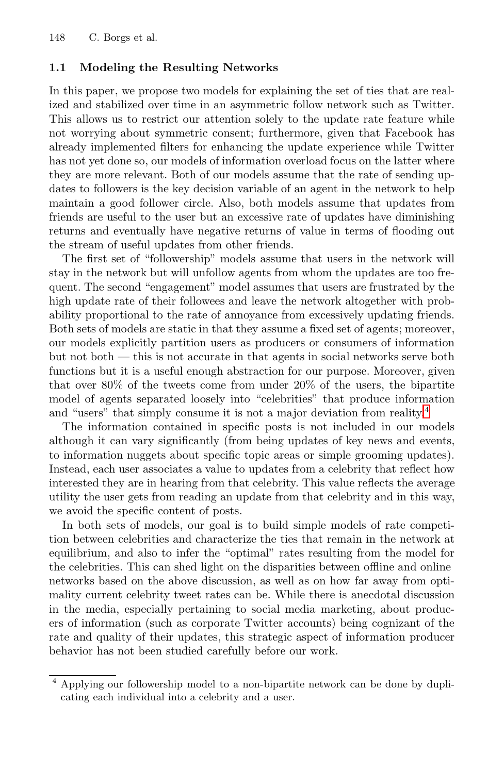### **1.1 Modeling the Resulting Networks**

In this paper, we propose two models for explaining the set of ties that are realized and stabilized over time in an asymmetric follow network such as Twitter. This allows us to restrict our attention solely to the update rate feature while not worrying about symmetric consent; furthermore, given that Facebook has already implemented filters for enhancing the update experience while Twitter has not yet done so, our models of information overload focus on the latter where they are more relevant. Both of our models assume that the rate of sending updates to followers is the key decision variable of an agent in the network to help maintain a good follower circle. Also, both models assume that updates from friends are useful to the user but an excessive rate of updates have diminishing returns and eventually have negative returns of value in terms of flooding out the stream of useful updates from other friends.

The first set of "followership" models assume that users in the network will stay in the network but will unfollow agents from whom the updates are too frequent. The second "engagement" model assumes that users are frustrated by the high update rate of their followees and leave the netw[or](#page-2-0)k altogether with probability proportional to the rate of annoyance from excessively updating friends. Both sets of models are static in that they assume a fixed set of agents; moreover, our models explicitly partition users as producers or consumers of information but not both — this is not accurate in that agents in social networks serve both functions but it is a useful enough abstraction for our purpose. Moreover, given that over 80% of the tweets come from under 20% of the users, the bipartite model of agents separated loosely into "celebrities" that produce information and "users" that simply consume it is not a major deviation from reality.<sup>4</sup>

The information contained in specific posts is not included in our models although it can vary significantly (from being updates of key news and events, to information nuggets about specific topic areas or simple grooming updates). Instead, each user associates a value to updates from a celebrity that reflect how interested they are in hearing from that celebrity. This value reflects the average utility the user gets from reading an update from that celebrity and in this way, we avoid the specific content of posts.

<span id="page-2-0"></span>In both sets of models, our goal is to build simple models of rate competition between celebrities and characterize the ties that remain in the network at equilibrium, and also to infer the "optimal" rates resulting from the model for the celebrities. This can shed light on the disparities between offline and online networks based on the above discussion, as well as on how far away from optimality current celebrity tweet rates can be. While there is anecdotal discussion in the media, especially pertaining to social media marketing, about producers of information (such as corporate Twitter accounts) being cognizant of the rate and quality of their updates, this strategic aspect of information producer behavior has not been studied carefully before our work.

<sup>4</sup> Applying our followership model to a non-bipartite network can be done by duplicating each individual into a celebrity and a user.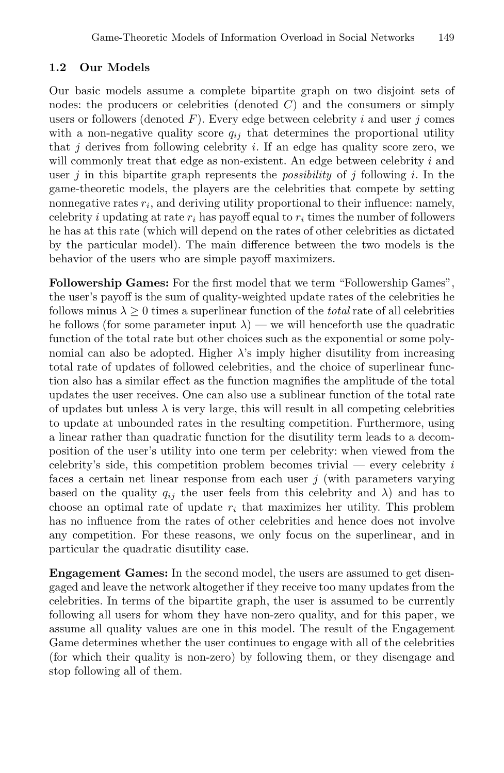### **1.2 Our Models**

Our basic models assume a complete bipartite graph on two disjoint sets of nodes: the producers or celebrities (denoted  $C$ ) and the consumers or simply users or followers (denoted  $F$ ). Every edge between celebrity i and user j comes with a non-negative quality score  $q_{ij}$  that determines the proportional utility that  $j$  derives from following celebrity  $i$ . If an edge has quality score zero, we will commonly treat that edge as non-existent. An edge between celebrity i and user j in this bipartite graph represents the *possibility* of j following i. In the game-theoretic models, the players are the celebrities that compete by setting nonnegative rates  $r_i$ , and deriving utility proportional to their influence: namely, celebrity i updating at rate  $r_i$  has payoff equal to  $r_i$  times the number of followers he has at this rate (which will depend on the rates of other celebrities as dictated by the particular model). The main difference between the two models is the behavior of the users who are simple payoff maximizers.

**Followership Games:** For the first model that we term "Followership Games", the user's payoff is the sum of quality-weighted update rates of the celebrities he follows minus  $\lambda \geq 0$  times a superlinear function of the *total* rate of all celebrities he follows (for some parameter input  $\lambda$ ) — we will henceforth use the quadratic function of the total rate but other choices such as the exponential or some polynomial can also be adopted. Higher  $\lambda$ 's imply higher disutility from increasing total rate of updates of followed celebrities, and the choice of superlinear function also has a similar effect as the function magnifies the amplitude of the total updates the user receives. One can also use a sublinear function of the total rate of updates but unless  $\lambda$  is very large, this will result in all competing celebrities to update at unbounded rates in the resulting competition. Furthermore, using a linear rather than quadratic function for the disutility term leads to a decomposition of the user's utility into one term per celebrity: when viewed from the celebrity's side, this competition problem becomes trivial — every celebrity  $i$ faces a certain net linear response from each user  $j$  (with parameters varying based on the quality  $q_{ij}$  the user feels from this celebrity and  $\lambda$ ) and has to choose an optimal rate of update  $r_i$  that maximizes her utility. This problem has no influence from the rates of other celebrities and hence does not involve any competition. For these reasons, we only focus on the superlinear, and in particular the quadratic disutility case.

**Engagement Games:** In the second model, the users are assumed to get disengaged and leave the network altogether if they receive too many updates from the celebrities. In terms of the bipartite graph, the user is assumed to be currently following all users for whom they have non-zero quality, and for this paper, we assume all quality values are one in this model. The result of the Engagement Game determines whether the user continues to engage with all of the celebrities (for which their quality is non-zero) by following them, or they disengage and stop following all of them.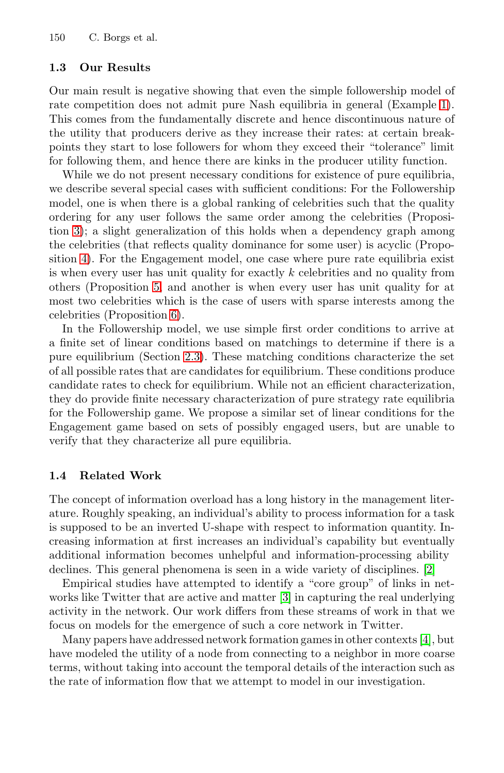### **1.3 Our Results**

Our main result is negative showing that even the simple followership model of rate competition does not admit pure Nash equilibria in general (Example 1). This comes from the fundamentally discrete and hence discontinuous nature of the utility that producers derive as they increase their rates: at certain breakpoints they start to lose followers for whom they exceed their "tolerance" limit for following them, and hence there are kinks in the producer utility function.

[W](#page-13-0)hile we do not present necessary conditions for existence of pure equilibria, we describe several special cases with sufficient conditions: For the Followership mod[el,](#page-13-1) one is when there is a global ranking of celebrities such that the quality ordering for any user follows the same order among the celebrities (Proposition 3); a slight generalization of this holds when a dependency graph among the cel[ebrit](#page-11-0)ies (that reflects quality dominance for some user) is acyclic (Proposition 4). For the Engagement model, one case where pure rate equilibria exist is when every user has unit quality for exactly  $k$  celebrities and no quality from others (Proposition 5, and another is when every user has unit quality for at most two celebrities which is the case of users with sparse interests among the celebrities (Proposition 6).

In the Followership model, we use simple first order conditions to arrive at a finite set of linear conditions based on matchings to determine if there is a pure equilibrium (Section 2.3). These matching conditions characterize the set of all possible rates that are candidates for equilibrium. These conditions produce candidate rates to check for equilibrium. While not an efficient characterization, they do provide finite necessary characterization of pure strategy rate equilibria for the Followership game. We propose a similar set of linear conditions for the Engagement game based on sets of possibly engaged users, but are unable to verify that they characterize all pure equilibria.

### **1.4 Related Work**

The concept of informatio[n](#page-15-2) [o](#page-15-2)verload has a long history in the management literature. Roughly speaking, an individual's ability to process information for a task is supposed to be an inverted U-shape with respect to [in](#page-15-3)formation quantity. Increasing information at first increases an individual's capability but eventually additional information becomes unhelpful and information-processing ability declines. This general phenomena is seen in a wide variety of disciplines. [2]

Empirical studies have attempted to identify a "core group" of links in networks like Twitter that are active and matter [3] in capturing the real underlying activity in the network. Our work differs from these streams of work in that we focus on models for the emergence of such a core network in Twitter.

Many papers have addressed network formation games in other contexts [4], but have modeled the utility of a node from connecting to a neighbor in more coarse terms, without taking into account the temporal details of the interaction such as the rate of information flow that we attempt to model in our investigation.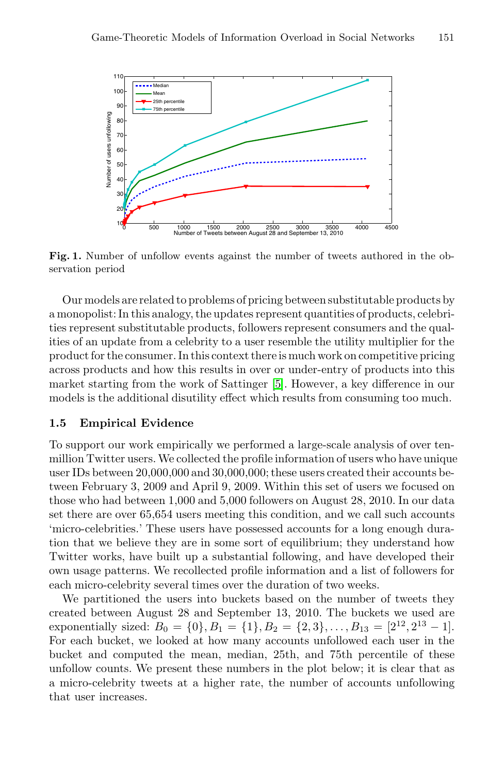

**Fig. 1.** Number of unfollow events against the number of tweets authored in the observation period

Our models are related to problems of pricing between substitutable products by a monopolist: In this analogy, the updates represent quantities of products, celebrities represent substitutable products, followers represent consumers and the qualities of an update from a celebrity to a user resemble the utility multiplier for the product for the consumer. In this context there is much work on competitive pricing across products and how this results in over or under-entry of products into this market starting from the work of Sattinger [5]. However, a key difference in our models is the additional disutility effect which results from consuming too much.

### **1.5 Empirical Evidence**

To support our work empirically we performed a large-scale analysis of over tenmillion Twitter users.We collected the profile information of users who have unique user IDs between 20,000,000 and 30,000,000; these users created their accounts between February 3, 2009 and April 9, 2009. Within this set of users we focused on those who had between 1,000 and 5,000 followers on August 28, 2010. In our data set there are over 65,654 users meeting this condition, and we call such accounts 'micro-celebrities.' These users have possessed accounts for a long enough duration that we believe they are in some sort of equilibrium; they understand how Twitter works, have built up a substantial following, and have developed their own usage patterns. We recollected profile information and a list of followers for each micro-celebrity several times over the duration of two weeks.

We partitioned the users into buckets based on the number of tweets they created between August 28 and September 13, 2010. The buckets we used are exponentially sized:  $B_0 = \{0\}, B_1 = \{1\}, B_2 = \{2, 3\}, \ldots, B_{13} = [2^{12}, 2^{13} - 1].$ For each bucket, we looked at how many accounts unfollowed each user in the bucket and computed the mean, median, 25th, and 75th percentile of these unfollow counts. We present these numbers in the plot below; it is clear that as a micro-celebrity tweets at a higher rate, the number of accounts unfollowing that user increases.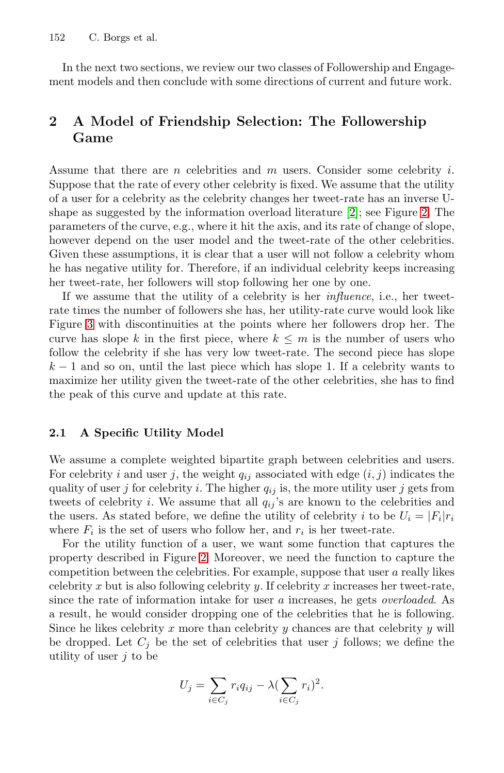In the next two sections, we review our two classes of Followership and Engagement models and then conclude with some directions of current and future work.

# **2 A Model of Friendship Selection: The Followership Game**

Assume that there are n celebrities and m users. Consider some celebrity i. Suppose that the rate of every other celebrity is fixed. We assume that the utility of a user for a celebrity as the celebrity changes her tweet-rate has an inverse Ushape as suggested by the information overload literature [2]; see Figure 2. The parameters of the curve, e.g., where it hit the axis, and its rate of change of slope, however depend on the user model and the tweet-rate of the other celebrities. Given these assumptions, it is clear that a user will not follow a celebrity whom he has negative utility for. Therefore, if an individual celebrity keeps increasing her tweet-rate, her followers will stop following her one by one.

If we assume that the utility of a celebrity is her *influence*, i.e., her tweetrate times the number of followers she has, her utility-rate curve would look like Figure 3 with discontinuities at the points where her followers drop her. The curve has slope k in the first piece, where  $k \leq m$  is the number of users who follow the celebrity if she has very low tweet-rate. The second piece has slope  $k-1$  and so on, until the last piece which has slope 1. If a celebrity wants to maximize her utility given the tweet-rate of the other celebrities, she has to find the peak of this curve and update at this rate.

### **2.1 A Specific Utility Model**

We assum[e](#page-7-0) [a](#page-7-0) complete weighted bipartite graph between celebrities and users. For celebrity i and user j, the weight  $q_{ij}$  associated with edge  $(i, j)$  indicates the quality of user j for celebrity i. The higher  $q_{ij}$  is, the more utility user j gets from tweets of celebrity i. We assume that all  $q_{ij}$ 's are known to the celebrities and the users. As stated before, we define the utility of celebrity i to be  $U_i = |F_i|r_i$ where  $F_i$  is the set of users who follow her, and  $r_i$  is her tweet-rate.

For the utility function of a user, we want some function that captures the property described in Figure 2. Moreover, we need the function to capture the competition between the celebrities. For example, suppose that user  $a$  really likes celebrity x but is also following celebrity y. If celebrity x increases her tweet-rate, since the rate of information intake for user a increases, he gets *overloaded*. As a result, he would consider dropping one of the celebrities that he is following. Since he likes celebrity x more than celebrity y chances are that celebrity y will be dropped. Let  $C_j$  be the set of celebrities that user j follows; we define the utility of user  $j$  to be

$$
U_j = \sum_{i \in C_j} r_i q_{ij} - \lambda (\sum_{i \in C_j} r_i)^2.
$$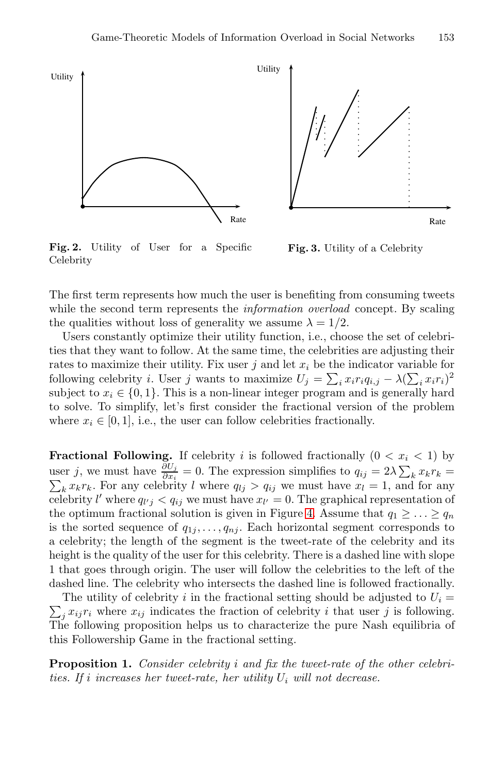<span id="page-7-0"></span>

**Fig. 2.** Utility of User for a Specific Celebrity

**Fig. 3.** Utility of a Celebrity

The first term represents how much the user is benefiting from consuming tweets while the second term represents the *information overload* concept. By scaling the qualities without loss of generality we assume  $\lambda = 1/2$ .

<span id="page-7-1"></span>Users constantly optimize their utility function, i.e., choose the set of celebrities that they want to follow. At the same time, the celebrities are adjusting their rates to maximize their utility. Fix user  $j$  and let  $x_i$  be the indicator variable for following celebrity *i*. User *j* wants to maximize  $U_j = \sum_i x_i r_i q_{i,j} - \lambda (\sum_i x_i r_i)^2$ subject to  $x_i \in \{0, 1\}$ . This is a non-linear integer program and is generally hard to solve. To simplify, let's firs[t c](#page-8-0)onsider the fractional version of the problem where  $x_i \in [0, 1]$ , i.e., the user can follow celebrities fractionally.

**Fractional Following.** If celebrity i is followed fractionally  $(0 < x_i < 1)$  by user j, we must have  $\frac{\partial U_j}{\partial x_i} = 0$ . The expression simplifies to  $q_{ij} = 2\lambda \sum_k$ <br> $\sum_k x_k r_k$ . For any celebrity l where  $q_{ij} > q_{ij}$  we must have  $x_l = 1$ , and  $x_kr_k =$  $k x_k x_k$ . For any celebrity l where  $q_{lj} > q_{ij}$  we must have  $x_l = 1$ , and for any celebrity l' where  $q_{l'j} < q_{ij}$  we must have  $x_{l'} = 0$ . The graphical representation of the optimum fractional solution is given in Figure 4. Assume that  $q_1 \geq \ldots \geq q_n$ is the sorted sequence of  $q_1, \ldots, q_{nj}$ . Each horizontal segment corresponds to a celebrity; the length of the segment is the tweet-rate of the celebrity and its height is the quality of the user for this celebrity. There is a dashed line with slope 1 that goes through origin. The user will follow the celebrities to the left of the dashed line. The celebrity who intersects the dashed line is followed fractionally.

 $\sum_j x_{ij} r_i$  where  $x_{ij}$  indicates the fraction of celebrity i that user j is following. The utility of celebrity i in the fractional setting should be adjusted to  $U_i =$ The following proposition helps us to characterize the pure Nash equilibria of this Followership Game in the fractional setting.

**Proposition 1.** *Consider celebrity* i *and fix the tweet-rate of the other celebrities. If i increases her tweet-rate, her utility*  $U_i$  *will not decrease.*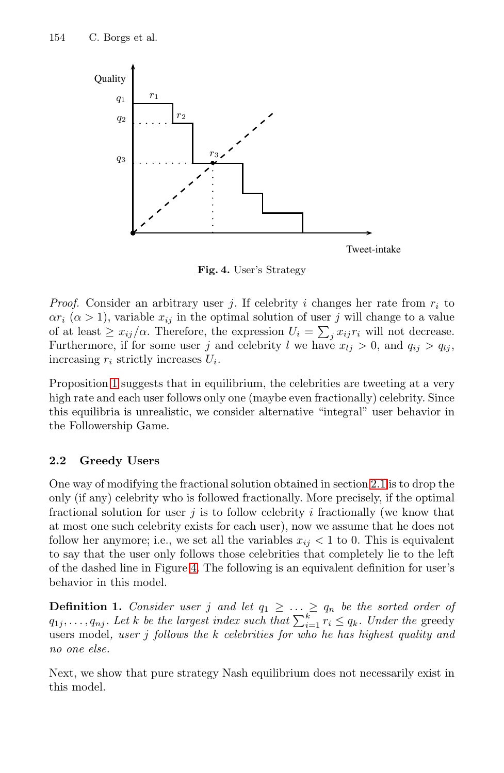

<span id="page-8-0"></span>**Fig. 4.** User's Strategy

*Proof.* Consider an arbitrary user j. If celebrity i changes her rate from  $r_i$  to  $\alpha r_i \ (\alpha > 1)$ , variable  $x_{ij}$  in the optimal solution of user j will change to a value of at least  $\geq x_{ij}/\alpha$ . Therefore, the expression  $U_i = \sum_j x_{ij} r_i$  will not decrease. Furthermore, if for some user j and celebrity l we have  $x_{lj} > 0$ , and  $q_{ij} > q_{lj}$ , increasing  $r_i$  strictly increases  $U_i$ .

Proposition 1 suggests that in equilibrium, [the](#page-7-1) [c](#page-7-1)elebrities are tweeting at a very high rate and each user follows only one (maybe even fractionally) celebrity. Since this equilibria is unrealistic, we consider alternative "integral" user behavior in the Followership Game.

### **2.2 G[re](#page-8-0)edy Users**

One way of modifying the fractional solution obtained in section 2.1 is to drop the only (if any) celebrity who is followed fractionally. More precisely, if the optimal fractional solution for user  $j$  is to follow celebrity  $i$  fractionally (we know that at most one such celebrity exists for each user), now we assume that he does not follow her anymore; i.e., we set all the variables  $x_{ij} < 1$  to 0. This is equivalent to say that the user only follows those celebrities that completely lie to the left of the dashed line in Figure 4. The following is an equivalent definition for user's behavior in this model.

**Definition 1.** *Consider user* j and let  $q_1 \geq \ldots \geq q_n$  be the sorted order of  $q_{1j}, \ldots, q_{nj}$ *. Let* k be the largest index such that  $\sum_{i=1}^{k} r_i \leq q_k$ *. Under the* greedy users model*, user* j *follows the* k *celebrities for who he has highest quality and no one else.*

Next, we show that pure strategy Nash equilibrium does not necessarily exist in this model.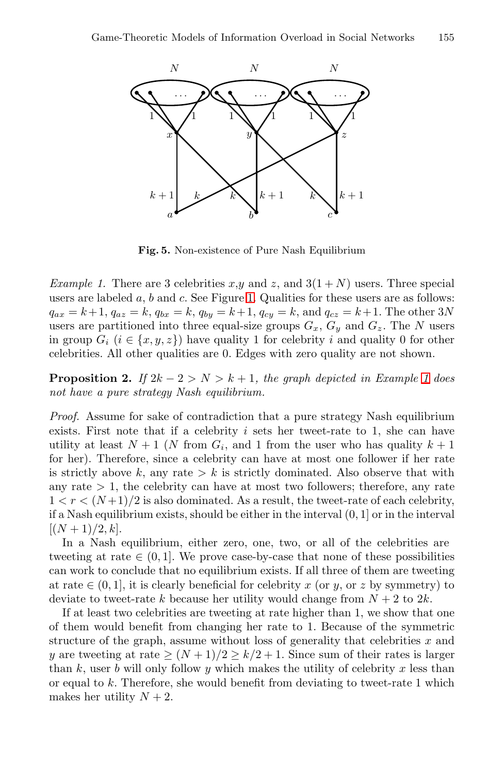

**Fig. 5.** Non-existence of Pure Nash Equilibrium

<span id="page-9-0"></span>*Example 1.* There are 3 celebrities  $x, y$  and  $z$ , and  $3(1+N)$  users. Three special users are labeled  $a, b$  and  $c$ . See Figure 1. Qualities for these users are as follows:  $q_{ax} = k+1, q_{az} = k, q_{bx} = k, q_{by} = k+1, q_{cy} = k, \text{ and } q_{cz} = k+1.$  The other 3N users are partitioned into three equal-size groups  $G_x$ ,  $G_y$  and  $G_z$ . The N users in group  $G_i$   $(i \in \{x, y, z\})$  have quality 1 for celebrity i and quality 0 for other celebrities. All other qualities are 0. Edges with zero quality are not shown.

**Proposition 2.** *If*  $2k - 2 > N > k + 1$ *, the graph depicted in Example 1 does not have a pure strategy Nash equilibrium.*

*Proof.* Assume for sake of contradiction that a pure strategy Nash equilibrium exists. First note that if a celebrity  $i$  sets her tweet-rate to 1, she can have utility at least  $N+1$  (N from  $G_i$ , and 1 from the user who has quality  $k+1$ for her). Therefore, since a celebrity can have at most one follower if her rate is strictly above k, any rate  $\geq k$  is strictly dominated. Also observe that with any rate  $> 1$ , the celebrity can have at most two followers; therefore, any rate  $1 < r < (N+1)/2$  is also dominated. As a result, the tweet-rate of each celebrity, if a Nash equilibrium exists, should be either in the interval  $(0, 1]$  or in the interval  $[(N+1)/2, k].$ 

In a Nash equilibrium, either zero, one, two, or all of the celebrities are tweeting at rate  $\in (0,1]$ . We prove case-by-case that none of these possibilities can work to conclude that no equilibrium exists. If all three of them are tweeting at rate  $\in (0,1]$ , it is clearly beneficial for celebrity x (or y, or z by symmetry) to deviate to tweet-rate k because her utility would change from  $N + 2$  to  $2k$ .

If at least two celebrities are tweeting at rate higher than 1, we show that one of them would benefit from changing her rate to 1. Because of the symmetric structure of the graph, assume without loss of generality that celebrities  $x$  and y are tweeting at rate  $\geq (N+1)/2 \geq k/2+1$ . Since sum of their rates is larger than k, user b will only follow y which makes the utility of celebrity x less than or equal to  $k$ . Therefore, she would benefit from deviating to tweet-rate 1 which makes her utility  $N + 2$ .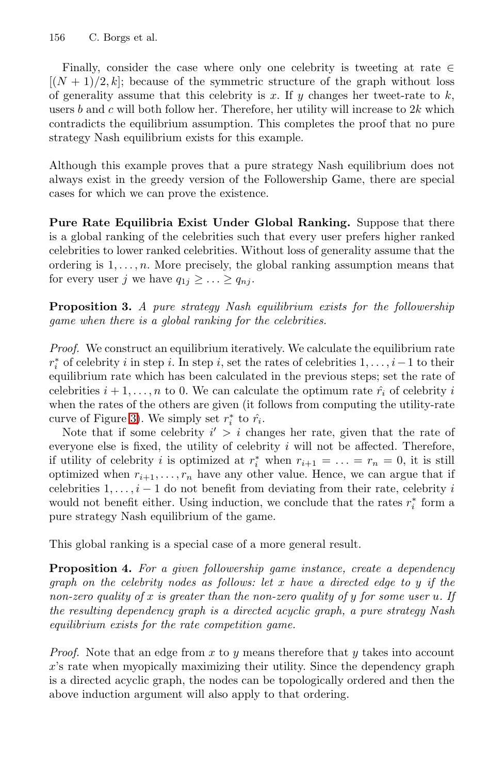Finally, consider the case where only one celebrity is tweeting at rate  $\in$  $[(N+1)/2, k]$ ; because of the symmetric structure of the graph without loss of generality assume that this celebrity is x. If y changes her tweet-rate to  $k$ , users  $b$  and  $c$  will both follow her. Therefore, her utility will increase to  $2k$  which contradicts the equilibrium assumption. This completes the proof that no pure strategy Nash equilibrium exists for this example.

Although this example proves that a pure strategy Nash equilibrium does not always exist in the greedy version of the Followership Game, there are special cases for which we can prove the existence.

**Pure Rate Equilibria Exist Under Global Ranking.** Suppose that there is a global ranking of the celebrities such that every user prefers higher ranked celebrities to lower ranked celebrities. Without loss of generality assume that the ordering is  $1, \ldots, n$ . More precisely, the global ranking assumption means that for every user j we have  $q_{1j} \geq \ldots \geq q_{ni}$ .

**Proposition 3.** *A pure strategy Nash equilibrium exists for the followership game when there is a global ranking for the celebrities.*

*Proof.* We construct an equilibrium iteratively. We calculate the equilibrium rate  $r_i^*$  of celebrity i in step i. In step i, set the rates of celebrities  $1, \ldots, i-1$  to their equilibrium rate which has been calculated in the previous steps; set the rate of celebrities  $i + 1, \ldots, n$  to 0. We can calculate the optimum rate  $\hat{r}_i$  of celebrity i when the rates of the others are given (it follows from computing the utility-rate curve of Figure 3). We simply set  $r_i^*$  to  $\hat{r_i}$ .

Note that if some celebrity  $i' > i$  changes her rate, given that the rate of everyone else is fixed, the utility of celebrity  $i$  will not be affected. Therefore, if utility of celebrity *i* is optimized at  $r_i^*$  when  $r_{i+1} = \ldots = r_n = 0$ , it is still optimized when  $r_{i+1},\ldots,r_n$  have any other value. Hence, we can argue that if celebrities  $1, \ldots, i-1$  do not benefit from deviating from their rate, celebrity i would not benefit either. Using induction, we conclude that the rates  $r_i^*$  form a pure strategy Nash equilibrium of the game.

This global ranking is a special case of a more general result.

**Proposition 4.** *For a given followership game instance, create a dependency graph on the celebrity nodes as follows: let* x *have a directed edge to* y *if the non-zero quality of* x *is greater than the non-zero quality of* y *for some user* u*. If the resulting dependency graph is a directed acyclic graph, a pure strategy Nash equilibrium exists for the rate competition game.*

*Proof.* Note that an edge from x to y means therefore that y takes into account x's rate when myopically maximizing their utility. Since the dependency graph is a directed acyclic graph, the nodes can be topologically ordered and then the above induction argument will also apply to that ordering.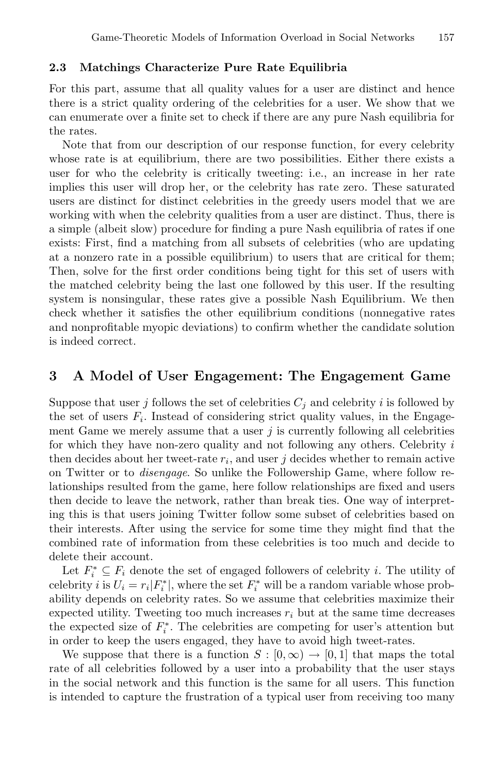### <span id="page-11-0"></span>**2.3 Matchings Characterize Pure Rate Equilibria**

For this part, assume that all quality values for a user are distinct and hence there is a strict quality ordering of the celebrities for a user. We show that we can enumerate over a finite set to check if there are any pure Nash equilibria for the rates.

Note that from our description of our response function, for every celebrity whose rate is at equilibrium, there are two possibilities. Either there exists a user for who the celebrity is critically tweeting: i.e., an increase in her rate implies this user will drop her, or the celebrity has rate zero. These saturated users are distinct for distinct celebrities in the greedy users model that we are working with when the celebrity qualities from a user are distinct. Thus, there is a simple (albeit slow) procedure for finding a pure Nash equilibria of rates if one exists: First, find a matching from all subsets of celebrities (who are updating at a nonzero rate in a possible equilibrium) to users that are critical for them; Then, solve for the first order conditions being tight for this set of users with the matched celebrity being the last one followed by this user. If the resulting system is nonsingular, these rates give a possible Nash Equilibrium. We then check whether it satisfies the other equilibrium conditions (nonnegative rates and nonprofitable myopic deviations) to confirm whether the candidate solution is indeed correct.

# **3 A Model of User Engagement: The Engagement Game**

Suppose that user j follows the set of celebrities  $C_i$  and celebrity i is followed by the set of users  $F_i$ . Instead of considering strict quality values, in the Engagement Game we merely assume that a user  $j$  is currently following all celebrities for which they have non-zero quality and not following any others. Celebrity  $i$ then decides about her tweet-rate  $r_i$ , and user j decides whether to remain active on Twitter or to *disengage*. So unlike the Followership Game, where follow relationships resulted from the game, here follow relationships are fixed and users then decide to leave the network, rather than break ties. One way of interpreting this is that users joining Twitter follow some subset of celebrities based on their interests. After using the service for some time they might find that the combined rate of information from these celebrities is too much and decide to delete their account.

Let  $F_i^* \subseteq F_i$  denote the set of engaged followers of celebrity *i*. The utility of celebrity *i* is  $U_i = r_i |F_i^*|$ , where the set  $F_i^*$  will be a random variable whose probability depends on celebrity rates. So we assume that celebrities maximize their expected utility. Tweeting too much increases  $r_i$  but at the same time decreases the expected size of  $F_i^*$ . The celebrities are competing for user's attention but in order to keep the users engaged, they have to avoid high tweet-rates.

We suppose that there is a function  $S: [0,\infty) \to [0,1]$  that maps the total rate of all celebrities followed by a user into a probability that the user stays in the social network and this function is the same for all users. This function is intended to capture the frustration of a typical user from receiving too many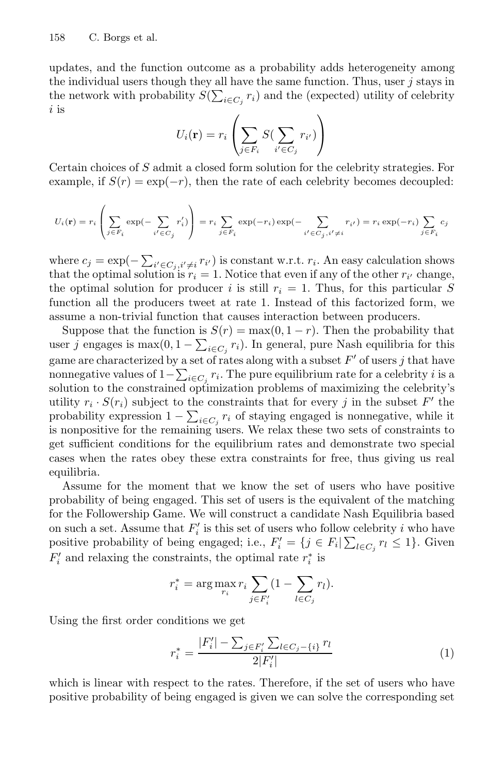updates, and the function outcome as a probability adds heterogeneity among the individual users though they all have the same function. Thus, user  $j$  stays in the network with probability  $S(\sum_{i \in C_j} r_i)$  and the (expected) utility of celebrity i is

$$
U_i(\mathbf{r}) = r_i \left( \sum_{j \in F_i} S(\sum_{i' \in C_j} r_{i'}) \right)
$$

Certain choices of S admit a closed form solution for the celebrity strategies. For example, if  $S(r) = \exp(-r)$ , then the rate of each celebrity becomes decoupled:

$$
U_i(\mathbf{r}) = r_i \left( \sum_{j \in F_i} \exp(-\sum_{i' \in C_j} r'_i) \right) = r_i \sum_{j \in F_i} \exp(-r_i) \exp(-\sum_{i' \in C_j, i' \neq i} r_{i'}) = r_i \exp(-r_i) \sum_{j \in F_i} c_j
$$

where  $c_j = \exp(-\sum_{i' \in C_j, i' \neq i} r_{i'})$  is constant w.r.t.  $r_i$ . An easy calculation shows that the optimal solution is  $r_i = 1$ . Notice that even if any of the other  $r_{i'}$  change, the optimal solution for producer i is still  $r_i = 1$ . Thus, for this particular S function all the producers tweet at rate 1. Instead of this factorized form, we assume a non-trivial function that causes interaction between producers.

Suppose that the function is  $S(r) = \max(0, 1 - r)$ . Then the probability that user j engages is max $(0, 1 - \sum_{i \in C_j} r_i)$ . In general, pure Nash equilibria for this game are characterized by a set of rates along with a subset  $F'$  of users j that have nonnegative values of  $1-\sum_{i\in C_j} r_i$ . The pure equilibrium rate for a celebrity i is a solution to the constrained optimization problems of maximizing the celebrity's utility  $r_i \cdot S(r_i)$  subject to the constraints that for every j in the subset F' the probability expression  $1 - \sum_{i \in C_j} r_i$  of staying engaged is nonnegative, while it is nonpositive for the remaining users. We relax these two sets of constraints to get sufficient conditions for the equilibrium rates and demonstrate two special cases when the rates obey these extra constraints for free, thus giving us real equilibria.

Assume for the moment that we know the set of users who have positive probability of being engaged. This set of users is the equivalent of the matching for the Followership Game. We will construct a candidate Nash Equilibria based on such a set. Assume that  $F_i'$  is this set of users who follow celebrity i who have positive probability of being engaged; i.e.,  $F'_i = \{j \in F_i | \sum_{l \in C_j} r_l \leq 1\}$ . Given  $F_i^\prime$  and relaxing the constraints, the optimal rate  $r_i^\ast$  is

$$
r_i^* = \arg\max_{r_i} r_i \sum_{j \in F_i'} (1 - \sum_{l \in C_j} r_l).
$$

Using the first order conditions we get

<span id="page-12-0"></span>
$$
r_i^* = \frac{|F_i'| - \sum_{j \in F_i'} \sum_{l \in C_j - \{i\}} r_l}{2|F_i'|} \tag{1}
$$

which is linear with respect to the rates. Therefore, if the set of users who have positive probability of being engaged is given we can solve the corresponding set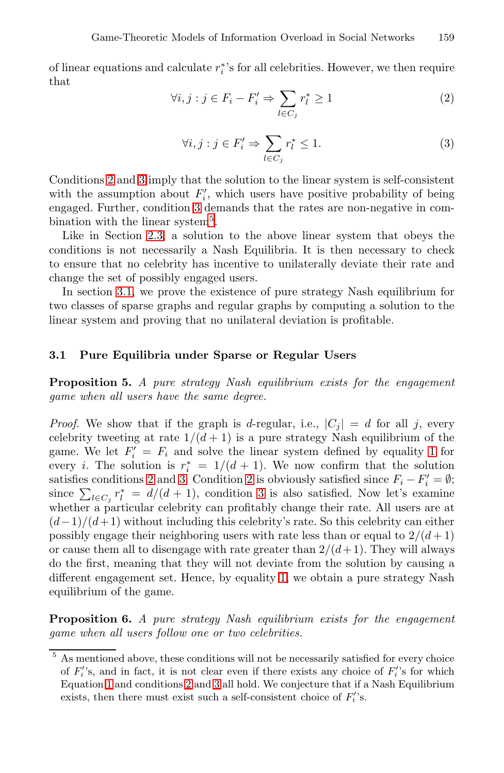<span id="page-13-3"></span><span id="page-13-2"></span>[o](#page-13-2)f linear equations and calculate  $r_i^*$ 's for all celebrities. However, we then require that

$$
\forall i, j : j \in F_i - F'_i \Rightarrow \sum_{l \in C_j} r_l^* \ge 1 \tag{2}
$$

$$
\forall i, j : j \in F'_i \Rightarrow \sum_{l \in C_j} r_l^* \le 1. \tag{3}
$$

Conditions 2 and 3 imply that the solution to the linear system is self-consistent with the assumption about  $F'_{i}$ , which users have positive probability of being engaged. Further, condition 3 demands that the rates are non-negative in combination with the linear system<sup>5</sup>.

<span id="page-13-0"></span>Like in Section 2.3, a solution to the above linear system that obeys the conditions is not necessarily a Nash Equilibria. It is then necessary to check to ensure that no celebrity has incentive to unilaterally deviate their rate and change the set of possibly engaged users.

In section 3.1, we prove the existence of pure strategy Nash equilibrium for two classes of sparse graphs and regular graphs by computing a solution to the linear system and proving that no unilateral deviation is profitable.

### **3.1 Pure Equilibria under Sparse or Regular Users**

**[P](#page-13-3)rop[os](#page-13-2)ition 5.** *A [p](#page-13-3)[ur](#page-13-2)e strategy Nash equilibrium exists for the engagement game when all users have the same degree.*

<span id="page-13-1"></span>*Proof.* We show that if the graph is d-regular, i.e.,  $|C_i| = d$  for all j, every celebrity tweeting at rate  $1/(d+1)$  is a pure strategy Nash equilibrium of the game. We let  $F_i' = F_i$  and solve the linear system defined by equality 1 for every *[i](#page-12-0)*. The solution is  $r_i^* = 1/(d+1)$ . We now confirm that the solution satisfies conditions 2 and 3. Condition 2 is obviously satisfied since  $F_i - F'_i = \emptyset$ ; since  $\sum_{l \in C_j} r_l^* = d/(d+1)$ , condition 3 is also satisfied. Now let's examine whether a particular celebrity can profitably change their rate. All users are at  $(d-1)/(d+1)$  without including this celebrity's rate. So this celebrity can either possibly engage their neighboring users with rate less than or equal to  $2/(d+1)$ or cause them all to disengage with rate greater than  $2/(d+1)$ . They will always do the first, meaning that they will not deviate from the solution by causing a differen[t e](#page-13-3)ng[ag](#page-13-2)ement set. Hence, by equality 1, we obtain a pure strategy Nash equilibrium of the game.

**Proposition 6.** *A pure strategy Nash equilibrium exists for the engagement game when all users follow one or two celebrities.*

 $5\,$  As mentioned above, these conditions will not be necessarily satisfied for every choice of  $F_i$ 's, and in fact, it is not clear even if there exists any choice of  $F_i$ 's for which Equation 1 and conditions 2 and 3 all hold. We conjecture that if a Nash Equilibrium exists, then there must exist such a self-consistent choice of  $F_i$ 's.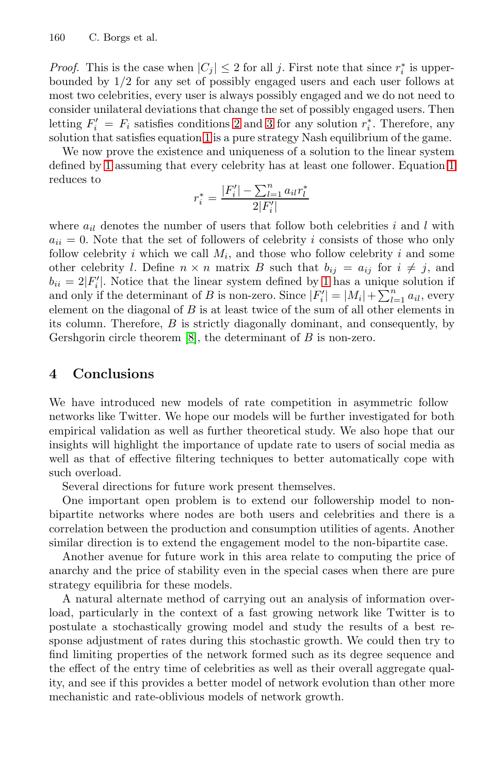*Proof.* This is the case when  $|C_j| \leq 2$  for all j. First note t[hat](#page-12-0) since  $r_i^*$  is upperbounded by 1/2 for any set of possibly engaged users and each user follows at most two celebrities, every user is always possibly engaged and we do not need to consider unilateral deviations that change the set of possibly engaged users. Then letting  $F'_i = F_i$  satisfies conditions 2 and 3 for any solution  $r_i^*$ . Therefore, any solution that satisfies equation 1 is a pure strategy Nash equilibrium of the game.

We now prove the existence and uniqueness of a solution to the linear system defined by 1 assuming that every [cel](#page-12-0)ebrity has at least one follower. Equation 1 reduces to

$$
r_i^* = \frac{|F'_i| - \sum_{l=1}^n a_{il}r_l^*}{2|F'_i|}
$$

where  $a_{il}$  $a_{il}$  $a_{il}$  denotes the number of users that follow both celebrities i and l with  $a_{ii} = 0$ . Note that the set of followers of celebrity i consists of those who only follow celebrity i which we call  $M_i$ , and those who follow celebrity i and some other celebrity l. Define  $n \times n$  matrix B such that  $b_{ij} = a_{ij}$  for  $i \neq j$ , and  $b_{ii} = 2|F'_i|$ . Notice that the linear system defined by 1 has a unique solution if and only if the determinant of B is non-zero. Since  $|F'_i| = |M_i| + \sum_{l=1}^n a_{il}$ , every element on the diagonal of  $B$  is at least twice of the sum of all other elements in its column. Therefore, B is strictly diagonally dominant, and consequently, by Gershgorin circle theorem [8], the determinant of B is non-zero.

### **4 Conclusions**

We have introduced new models of rate competition in asymmetric follow networks like Twitter. We hope our models will be further investigated for both empirical validation as well as further theoretical study. We also hope that our insights will highlight the importance of update rate to users of social media as well as that of effective filtering techniques to better automatically cope with such overload.

Several directions for future work present themselves.

One important open problem is to extend our followership model to nonbipartite networks where nodes are both users and celebrities and there is a correlation between the production and consumption utilities of agents. Another similar direction is to extend the engagement model to the non-bipartite case.

Another avenue for future work in this area relate to computing the price of anarchy and the price of stability even in the special cases when there are pure strategy equilibria for these models.

A natural alternate method of carrying out an analysis of information overload, particularly in the context of a fast growing network like Twitter is to postulate a stochastically growing model and study the results of a best response adjustment of rates during this stochastic growth. We could then try to find limiting properties of the network formed such as its degree sequence and the effect of the entry time of celebrities as well as their overall aggregate quality, and see if this provides a better model of network evolution than other more mechanistic and rate-oblivious models of network growth.